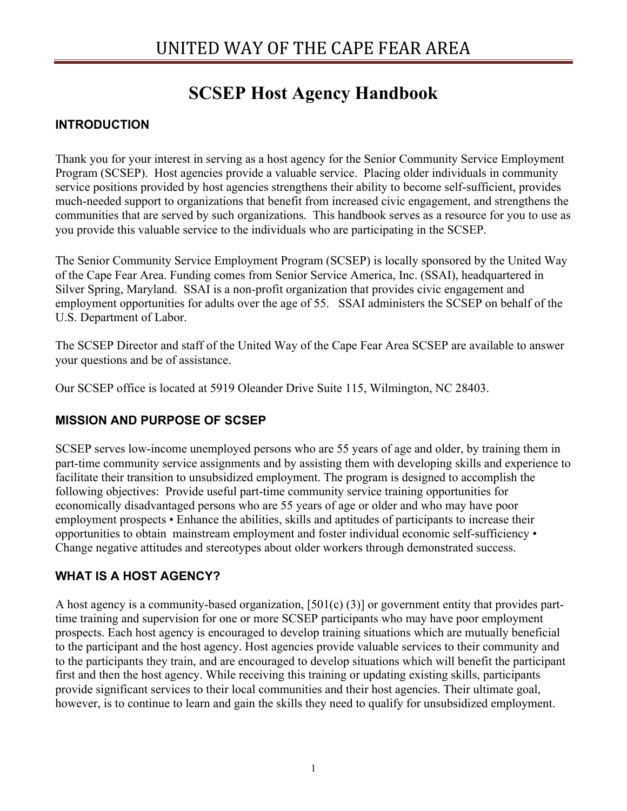# **SCSEP Host Agency Handbook**

## **INTRODUCTION**

Thank you for your interest in serving as a host agency for the Senior Community Service Employment Program (SCSEP). Host agencies provide a valuable service. Placing older individuals in community service positions provided by host agencies strengthens their ability to become self-sufficient, provides much-needed support to organizations that benefit from increased civic engagement, and strengthens the communities that are served by such organizations. This handbook serves as a resource for you to use as you provide this valuable service to the individuals who are participating in the SCSEP.

The Senior Community Service Employment Program (SCSEP) is locally sponsored by the United Way of the Cape Fear Area. Funding comes from Senior Service America, Inc. (SSAI), headquartered in Silver Spring, Maryland. SSAI is a non-profit organization that provides civic engagement and employment opportunities for adults over the age of 55. SSAI administers the SCSEP on behalf of the U.S. Department of Labor.

The SCSEP Director and staff of the United Way of the Cape Fear Area SCSEP are available to answer your questions and be of assistance.

Our SCSEP office is located at 5919 Oleander Drive Suite 115, Wilmington, NC 28403.

## **MISSION AND PURPOSE OF SCSEP**

SCSEP serves low-income unemployed persons who are 55 years of age and older, by training them in part-time community service assignments and by assisting them with developing skills and experience to facilitate their transition to unsubsidized employment. The program is designed to accomplish the following objectives: Provide useful part-time community service training opportunities for economically disadvantaged persons who are 55 years of age or older and who may have poor employment prospects • Enhance the abilities, skills and aptitudes of participants to increase their opportunities to obtain mainstream employment and foster individual economic self-sufficiency • Change negative attitudes and stereotypes about older workers through demonstrated success.

## **WHAT IS A HOST AGENCY?**

A host agency is a community-based organization, [501(c) (3)] or government entity that provides parttime training and supervision for one or more SCSEP participants who may have poor employment prospects. Each host agency is encouraged to develop training situations which are mutually beneficial to the participant and the host agency. Host agencies provide valuable services to their community and to the participants they train, and are encouraged to develop situations which will benefit the participant first and then the host agency. While receiving this training or updating existing skills, participants provide significant services to their local communities and their host agencies. Their ultimate goal, however, is to continue to learn and gain the skills they need to qualify for unsubsidized employment.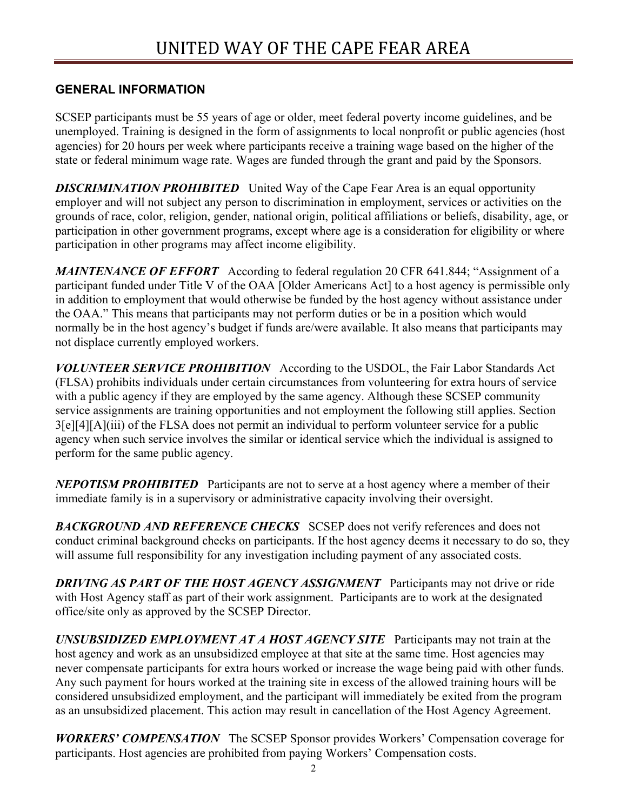#### **GENERAL INFORMATION**

SCSEP participants must be 55 years of age or older, meet federal poverty income guidelines, and be unemployed. Training is designed in the form of assignments to local nonprofit or public agencies (host agencies) for 20 hours per week where participants receive a training wage based on the higher of the state or federal minimum wage rate. Wages are funded through the grant and paid by the Sponsors.

**DISCRIMINATION PROHIBITED** United Way of the Cape Fear Area is an equal opportunity employer and will not subject any person to discrimination in employment, services or activities on the grounds of race, color, religion, gender, national origin, political affiliations or beliefs, disability, age, or participation in other government programs, except where age is a consideration for eligibility or where participation in other programs may affect income eligibility.

*MAINTENANCE OF EFFORT* According to federal regulation 20 CFR 641.844; "Assignment of a participant funded under Title V of the OAA [Older Americans Act] to a host agency is permissible only in addition to employment that would otherwise be funded by the host agency without assistance under the OAA." This means that participants may not perform duties or be in a position which would normally be in the host agency's budget if funds are/were available. It also means that participants may not displace currently employed workers.

*VOLUNTEER SERVICE PROHIBITION* According to the USDOL, the Fair Labor Standards Act (FLSA) prohibits individuals under certain circumstances from volunteering for extra hours of service with a public agency if they are employed by the same agency. Although these SCSEP community service assignments are training opportunities and not employment the following still applies. Section 3[e][4][A](iii) of the FLSA does not permit an individual to perform volunteer service for a public agency when such service involves the similar or identical service which the individual is assigned to perform for the same public agency.

*NEPOTISM PROHIBITED* Participants are not to serve at a host agency where a member of their immediate family is in a supervisory or administrative capacity involving their oversight.

*BACKGROUND AND REFERENCE CHECKS* SCSEP does not verify references and does not conduct criminal background checks on participants. If the host agency deems it necessary to do so, they will assume full responsibility for any investigation including payment of any associated costs.

*DRIVING AS PART OF THE HOST AGENCY ASSIGNMENT* Participants may not drive or ride with Host Agency staff as part of their work assignment. Participants are to work at the designated office/site only as approved by the SCSEP Director.

*UNSUBSIDIZED EMPLOYMENT AT A HOST AGENCY SITE* Participants may not train at the host agency and work as an unsubsidized employee at that site at the same time. Host agencies may never compensate participants for extra hours worked or increase the wage being paid with other funds. Any such payment for hours worked at the training site in excess of the allowed training hours will be considered unsubsidized employment, and the participant will immediately be exited from the program as an unsubsidized placement. This action may result in cancellation of the Host Agency Agreement.

*WORKERS' COMPENSATION* The SCSEP Sponsor provides Workers' Compensation coverage for participants. Host agencies are prohibited from paying Workers' Compensation costs.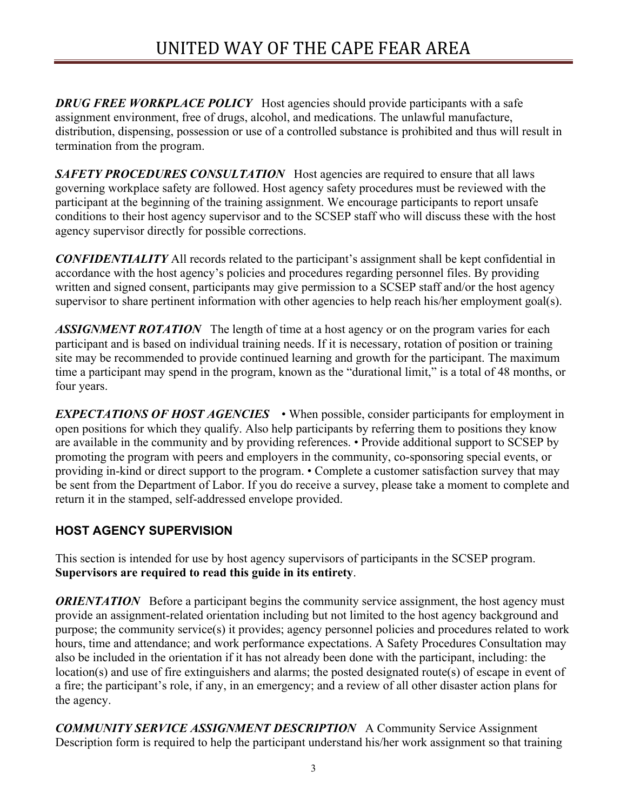**DRUG FREE WORKPLACE POLICY** Host agencies should provide participants with a safe assignment environment, free of drugs, alcohol, and medications. The unlawful manufacture, distribution, dispensing, possession or use of a controlled substance is prohibited and thus will result in termination from the program.

**SAFETY PROCEDURES CONSULTATION** Host agencies are required to ensure that all laws governing workplace safety are followed. Host agency safety procedures must be reviewed with the participant at the beginning of the training assignment. We encourage participants to report unsafe conditions to their host agency supervisor and to the SCSEP staff who will discuss these with the host agency supervisor directly for possible corrections.

*CONFIDENTIALITY* All records related to the participant's assignment shall be kept confidential in accordance with the host agency's policies and procedures regarding personnel files. By providing written and signed consent, participants may give permission to a SCSEP staff and/or the host agency supervisor to share pertinent information with other agencies to help reach his/her employment goal(s).

ASSIGNMENT ROTATION The length of time at a host agency or on the program varies for each participant and is based on individual training needs. If it is necessary, rotation of position or training site may be recommended to provide continued learning and growth for the participant. The maximum time a participant may spend in the program, known as the "durational limit," is a total of 48 months, or four years.

*EXPECTATIONS OF HOST AGENCIES* • When possible, consider participants for employment in open positions for which they qualify. Also help participants by referring them to positions they know are available in the community and by providing references. • Provide additional support to SCSEP by promoting the program with peers and employers in the community, co-sponsoring special events, or providing in-kind or direct support to the program. • Complete a customer satisfaction survey that may be sent from the Department of Labor. If you do receive a survey, please take a moment to complete and return it in the stamped, self-addressed envelope provided.

# **HOST AGENCY SUPERVISION**

This section is intended for use by host agency supervisors of participants in the SCSEP program. **Supervisors are required to read this guide in its entirety**.

*ORIENTATION* Before a participant begins the community service assignment, the host agency must provide an assignment-related orientation including but not limited to the host agency background and purpose; the community service(s) it provides; agency personnel policies and procedures related to work hours, time and attendance; and work performance expectations. A Safety Procedures Consultation may also be included in the orientation if it has not already been done with the participant, including: the location(s) and use of fire extinguishers and alarms; the posted designated route(s) of escape in event of a fire; the participant's role, if any, in an emergency; and a review of all other disaster action plans for the agency.

*COMMUNITY SERVICE ASSIGNMENT DESCRIPTION* A Community Service Assignment Description form is required to help the participant understand his/her work assignment so that training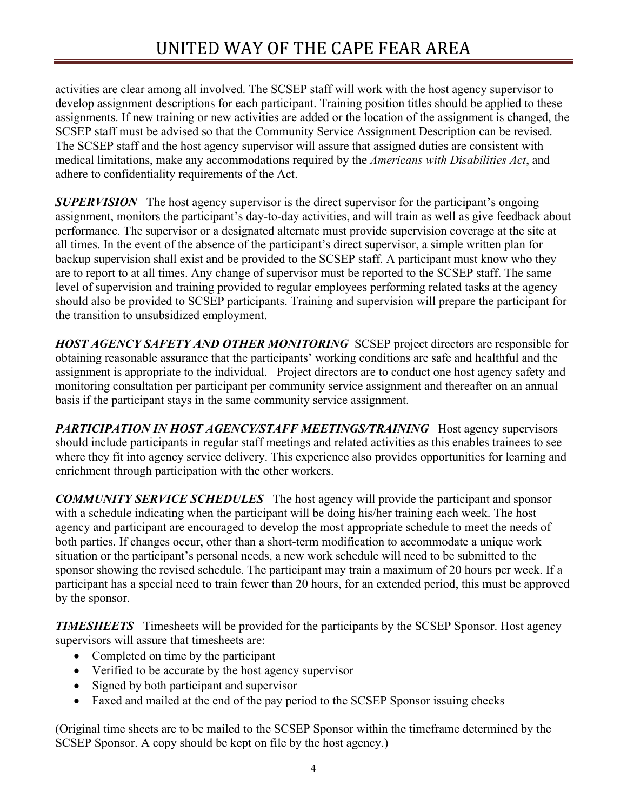activities are clear among all involved. The SCSEP staff will work with the host agency supervisor to develop assignment descriptions for each participant. Training position titles should be applied to these assignments. If new training or new activities are added or the location of the assignment is changed, the SCSEP staff must be advised so that the Community Service Assignment Description can be revised. The SCSEP staff and the host agency supervisor will assure that assigned duties are consistent with medical limitations, make any accommodations required by the *Americans with Disabilities Act*, and adhere to confidentiality requirements of the Act.

*SUPERVISION* The host agency supervisor is the direct supervisor for the participant's ongoing assignment, monitors the participant's day-to-day activities, and will train as well as give feedback about performance. The supervisor or a designated alternate must provide supervision coverage at the site at all times. In the event of the absence of the participant's direct supervisor, a simple written plan for backup supervision shall exist and be provided to the SCSEP staff. A participant must know who they are to report to at all times. Any change of supervisor must be reported to the SCSEP staff. The same level of supervision and training provided to regular employees performing related tasks at the agency should also be provided to SCSEP participants. Training and supervision will prepare the participant for the transition to unsubsidized employment.

*HOST AGENCY SAFETY AND OTHER MONITORING* SCSEP project directors are responsible for obtaining reasonable assurance that the participants' working conditions are safe and healthful and the assignment is appropriate to the individual. Project directors are to conduct one host agency safety and monitoring consultation per participant per community service assignment and thereafter on an annual basis if the participant stays in the same community service assignment.

*PARTICIPATION IN HOST AGENCY/STAFF MEETINGS/TRAINING* Host agency supervisors should include participants in regular staff meetings and related activities as this enables trainees to see where they fit into agency service delivery. This experience also provides opportunities for learning and enrichment through participation with the other workers.

*COMMUNITY SERVICE SCHEDULES* The host agency will provide the participant and sponsor with a schedule indicating when the participant will be doing his/her training each week. The host agency and participant are encouraged to develop the most appropriate schedule to meet the needs of both parties. If changes occur, other than a short-term modification to accommodate a unique work situation or the participant's personal needs, a new work schedule will need to be submitted to the sponsor showing the revised schedule. The participant may train a maximum of 20 hours per week. If a participant has a special need to train fewer than 20 hours, for an extended period, this must be approved by the sponsor.

*TIMESHEETS* Timesheets will be provided for the participants by the SCSEP Sponsor. Host agency supervisors will assure that timesheets are:

- Completed on time by the participant
- Verified to be accurate by the host agency supervisor
- Signed by both participant and supervisor
- Faxed and mailed at the end of the pay period to the SCSEP Sponsor issuing checks

(Original time sheets are to be mailed to the SCSEP Sponsor within the timeframe determined by the SCSEP Sponsor. A copy should be kept on file by the host agency.)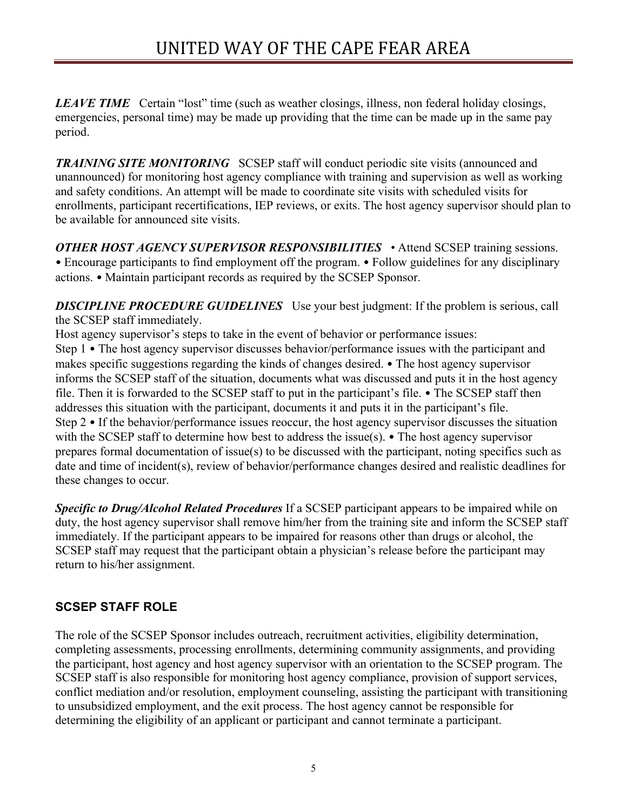*LEAVE TIME* Certain "lost" time (such as weather closings, illness, non federal holiday closings, emergencies, personal time) may be made up providing that the time can be made up in the same pay period.

**TRAINING SITE MONITORING** SCSEP staff will conduct periodic site visits (announced and unannounced) for monitoring host agency compliance with training and supervision as well as working and safety conditions. An attempt will be made to coordinate site visits with scheduled visits for enrollments, participant recertifications, IEP reviews, or exits. The host agency supervisor should plan to be available for announced site visits.

*OTHER HOST AGENCY SUPERVISOR RESPONSIBILITIES*• Attend SCSEP training sessions. • Encourage participants to find employment off the program. • Follow guidelines for any disciplinary actions. • Maintain participant records as required by the SCSEP Sponsor.

**DISCIPLINE PROCEDURE GUIDELINES** Use your best judgment: If the problem is serious, call the SCSEP staff immediately.

Host agency supervisor's steps to take in the event of behavior or performance issues: Step 1 • The host agency supervisor discusses behavior/performance issues with the participant and makes specific suggestions regarding the kinds of changes desired. • The host agency supervisor informs the SCSEP staff of the situation, documents what was discussed and puts it in the host agency file. Then it is forwarded to the SCSEP staff to put in the participant's file. • The SCSEP staff then addresses this situation with the participant, documents it and puts it in the participant's file. Step 2 • If the behavior/performance issues reoccur, the host agency supervisor discusses the situation with the SCSEP staff to determine how best to address the issue(s). • The host agency supervisor prepares formal documentation of issue(s) to be discussed with the participant, noting specifics such as date and time of incident(s), review of behavior/performance changes desired and realistic deadlines for these changes to occur.

*Specific to Drug/Alcohol Related Procedures* If a SCSEP participant appears to be impaired while on duty, the host agency supervisor shall remove him/her from the training site and inform the SCSEP staff immediately. If the participant appears to be impaired for reasons other than drugs or alcohol, the SCSEP staff may request that the participant obtain a physician's release before the participant may return to his/her assignment.

# **SCSEP STAFF ROLE**

The role of the SCSEP Sponsor includes outreach, recruitment activities, eligibility determination, completing assessments, processing enrollments, determining community assignments, and providing the participant, host agency and host agency supervisor with an orientation to the SCSEP program. The SCSEP staff is also responsible for monitoring host agency compliance, provision of support services, conflict mediation and/or resolution, employment counseling, assisting the participant with transitioning to unsubsidized employment, and the exit process. The host agency cannot be responsible for determining the eligibility of an applicant or participant and cannot terminate a participant.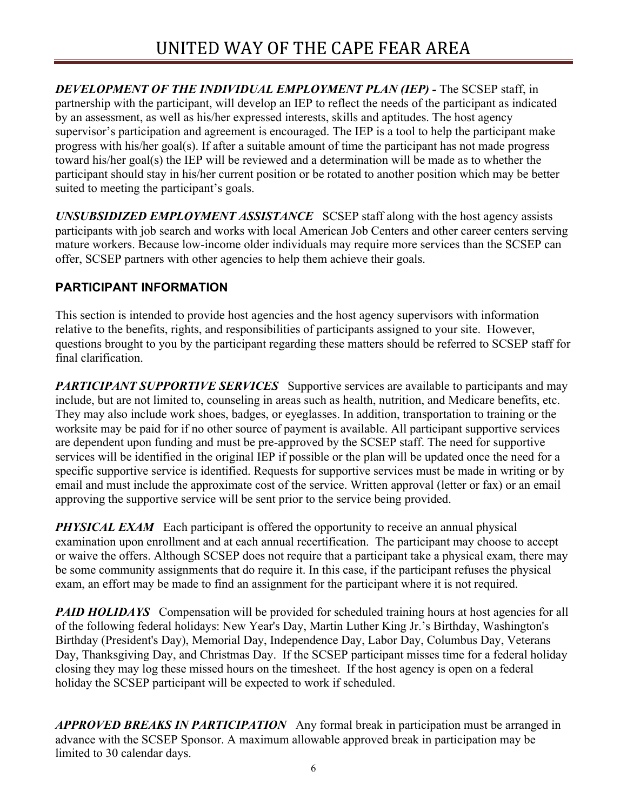*DEVELOPMENT OF THE INDIVIDUAL EMPLOYMENT PLAN (IEP) -* The SCSEP staff, in partnership with the participant, will develop an IEP to reflect the needs of the participant as indicated by an assessment, as well as his/her expressed interests, skills and aptitudes. The host agency supervisor's participation and agreement is encouraged. The IEP is a tool to help the participant make progress with his/her goal(s). If after a suitable amount of time the participant has not made progress toward his/her goal(s) the IEP will be reviewed and a determination will be made as to whether the participant should stay in his/her current position or be rotated to another position which may be better suited to meeting the participant's goals.

*UNSUBSIDIZED EMPLOYMENT ASSISTANCE* SCSEP staff along with the host agency assists participants with job search and works with local American Job Centers and other career centers serving mature workers. Because low-income older individuals may require more services than the SCSEP can offer, SCSEP partners with other agencies to help them achieve their goals.

## **PARTICIPANT INFORMATION**

This section is intended to provide host agencies and the host agency supervisors with information relative to the benefits, rights, and responsibilities of participants assigned to your site. However, questions brought to you by the participant regarding these matters should be referred to SCSEP staff for final clarification.

**PARTICIPANT SUPPORTIVE SERVICES** Supportive services are available to participants and may include, but are not limited to, counseling in areas such as health, nutrition, and Medicare benefits, etc. They may also include work shoes, badges, or eyeglasses. In addition, transportation to training or the worksite may be paid for if no other source of payment is available. All participant supportive services are dependent upon funding and must be pre-approved by the SCSEP staff. The need for supportive services will be identified in the original IEP if possible or the plan will be updated once the need for a specific supportive service is identified. Requests for supportive services must be made in writing or by email and must include the approximate cost of the service. Written approval (letter or fax) or an email approving the supportive service will be sent prior to the service being provided.

*PHYSICAL EXAM* Each participant is offered the opportunity to receive an annual physical examination upon enrollment and at each annual recertification. The participant may choose to accept or waive the offers. Although SCSEP does not require that a participant take a physical exam, there may be some community assignments that do require it. In this case, if the participant refuses the physical exam, an effort may be made to find an assignment for the participant where it is not required.

**PAID HOLIDAYS** Compensation will be provided for scheduled training hours at host agencies for all of the following federal holidays: New Year's Day, Martin Luther King Jr.'s Birthday, Washington's Birthday (President's Day), Memorial Day, Independence Day, Labor Day, Columbus Day, Veterans Day, Thanksgiving Day, and Christmas Day. If the SCSEP participant misses time for a federal holiday closing they may log these missed hours on the timesheet. If the host agency is open on a federal holiday the SCSEP participant will be expected to work if scheduled.

*APPROVED BREAKS IN PARTICIPATION* Any formal break in participation must be arranged in advance with the SCSEP Sponsor. A maximum allowable approved break in participation may be limited to 30 calendar days.